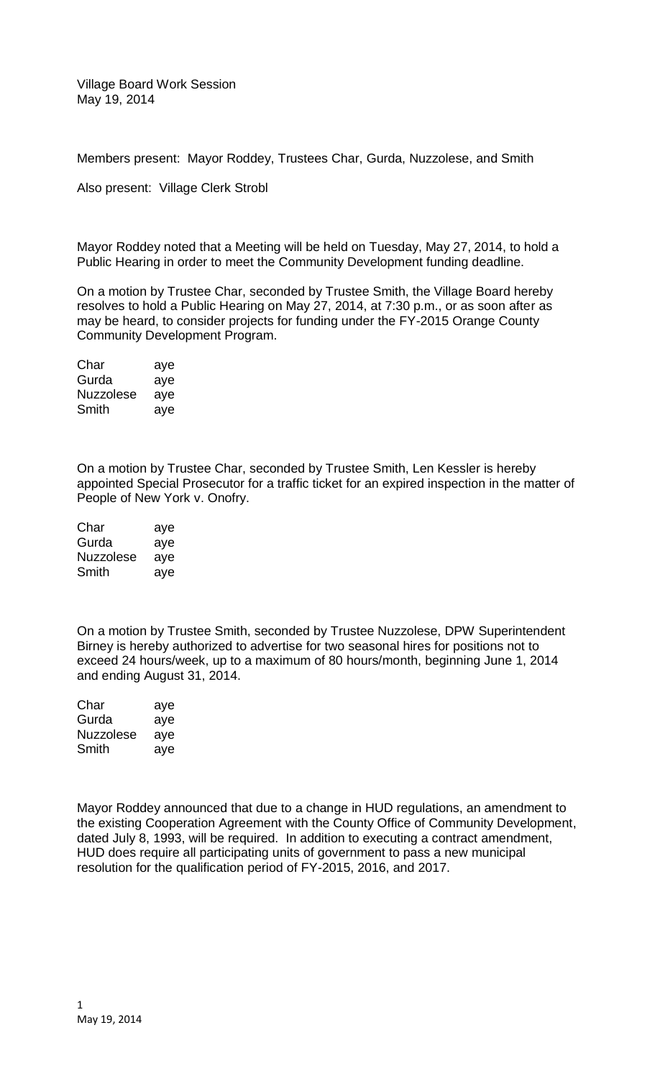Village Board Work Session May 19, 2014

Members present: Mayor Roddey, Trustees Char, Gurda, Nuzzolese, and Smith

Also present: Village Clerk Strobl

Mayor Roddey noted that a Meeting will be held on Tuesday, May 27, 2014, to hold a Public Hearing in order to meet the Community Development funding deadline.

On a motion by Trustee Char, seconded by Trustee Smith, the Village Board hereby resolves to hold a Public Hearing on May 27, 2014, at 7:30 p.m., or as soon after as may be heard, to consider projects for funding under the FY-2015 Orange County Community Development Program.

| Char      | aye |
|-----------|-----|
| Gurda     | aye |
| Nuzzolese | aye |
| Smith     | aye |

On a motion by Trustee Char, seconded by Trustee Smith, Len Kessler is hereby appointed Special Prosecutor for a traffic ticket for an expired inspection in the matter of People of New York v. Onofry.

| Char             | aye |
|------------------|-----|
| Gurda            | aye |
| <b>Nuzzolese</b> | aye |
| Smith            | aye |

On a motion by Trustee Smith, seconded by Trustee Nuzzolese, DPW Superintendent Birney is hereby authorized to advertise for two seasonal hires for positions not to exceed 24 hours/week, up to a maximum of 80 hours/month, beginning June 1, 2014 and ending August 31, 2014.

| Char      | aye |
|-----------|-----|
| Gurda     | aye |
| Nuzzolese | aye |
| Smith     | aye |

Mayor Roddey announced that due to a change in HUD regulations, an amendment to the existing Cooperation Agreement with the County Office of Community Development, dated July 8, 1993, will be required. In addition to executing a contract amendment, HUD does require all participating units of government to pass a new municipal resolution for the qualification period of FY-2015, 2016, and 2017.